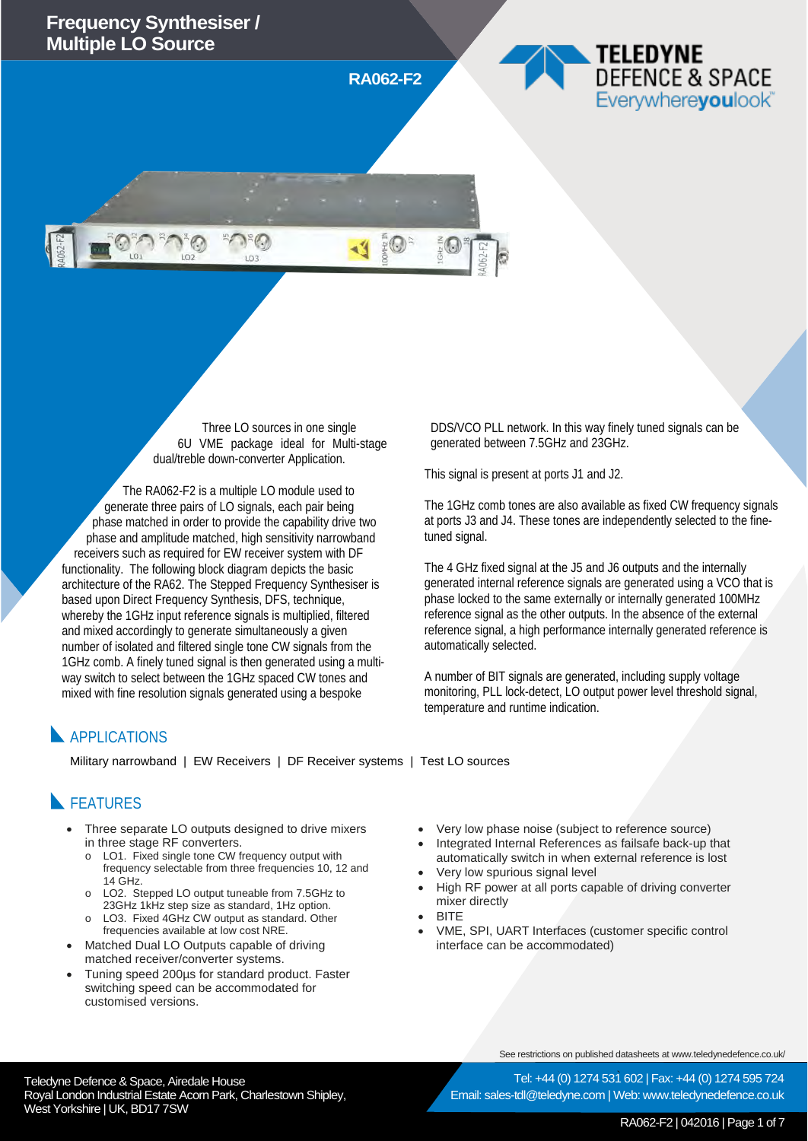

Three LO sources in one single 6U VME package ideal for Multi-stage dual/treble down-converter Application.

The RA062-F2 is a multiple LO module used to generate three pairs of LO signals, each pair being phase matched in order to provide the capability drive two phase and amplitude matched, high sensitivity narrowband receivers such as required for EW receiver system with DF functionality. The following block diagram depicts the basic architecture of the RA62. The Stepped Frequency Synthesiser is based upon Direct Frequency Synthesis, DFS, technique, whereby the 1GHz input reference signals is multiplied, filtered and mixed accordingly to generate simultaneously a given number of isolated and filtered single tone CW signals from the 1GHz comb. A finely tuned signal is then generated using a multiway switch to select between the 1GHz spaced CW tones and mixed with fine resolution signals generated using a bespoke

DDS/VCO PLL network. In this way finely tuned signals can be generated between 7.5GHz and 23GHz.

This signal is present at ports J1 and J2.

The 1GHz comb tones are also available as fixed CW frequency signals at ports J3 and J4. These tones are independently selected to the finetuned signal.

The 4 GHz fixed signal at the J5 and J6 outputs and the internally generated internal reference signals are generated using a VCO that is phase locked to the same externally or internally generated 100MHz reference signal as the other outputs. In the absence of the external reference signal, a high performance internally generated reference is automatically selected.

A number of BIT signals are generated, including supply voltage monitoring, PLL lock-detect, LO output power level threshold signal, temperature and runtime indication.

## **APPLICATIONS**

Military narrowband | EW Receivers | DF Receiver systems | Test LO sources

## FEATURES

- Three separate LO outputs designed to drive mixers in three stage RF converters.
	- o LO1. Fixed single tone CW frequency output with frequency selectable from three frequencies 10, 12 and 14 GHz.
	- LO2. Stepped LO output tuneable from 7.5GHz to 23GHz 1kHz step size as standard, 1Hz option.
	- o LO3. Fixed 4GHz CW output as standard. Other frequencies available at low cost NRE.
- Matched Dual LO Outputs capable of driving matched receiver/converter systems.
- Tuning speed 200µs for standard product. Faster switching speed can be accommodated for customised versions.
- Very low phase noise (subject to reference source)
- Integrated Internal References as failsafe back-up that automatically switch in when external reference is lost
- Very low spurious signal level
- High RF power at all ports capable of driving converter mixer directly
- **BITE**
- VME, SPI, UART Interfaces (customer specific control interface can be accommodated)

See restrictions on published datasheets at www.teledynedefence.co.uk/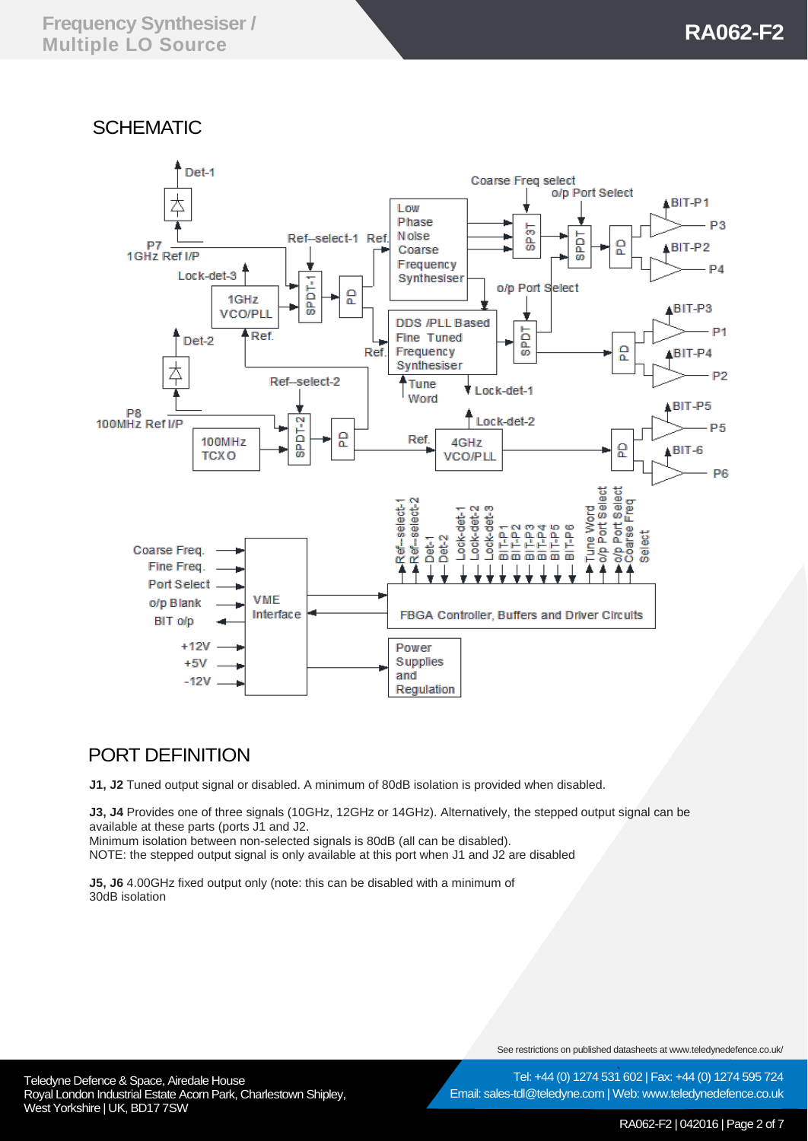# **SCHEMATIC**



## PORT DEFINITION

**J1, J2** Tuned output signal or disabled. A minimum of 80dB isolation is provided when disabled.

**J3, J4** Provides one of three signals (10GHz, 12GHz or 14GHz). Alternatively, the stepped output signal can be available at these parts (ports J1 and J2.

Minimum isolation between non-selected signals is 80dB (all can be disabled).

NOTE: the stepped output signal is only available at this port when J1 and J2 are disabled

**J5, J6** 4.00GHz fixed output only (note: this can be disabled with a minimum of 30dB isolation

See restrictions on published datasheets at www.teledynedefence.co.uk/

Teledyne Defence & Space, Airedale House and the state of the state of the Tel: +44 (0) 1274 531 Royal London Industrial Estate Acorn Park, Charlestown Shipley, West Yorkshire | UK, BD17 7SW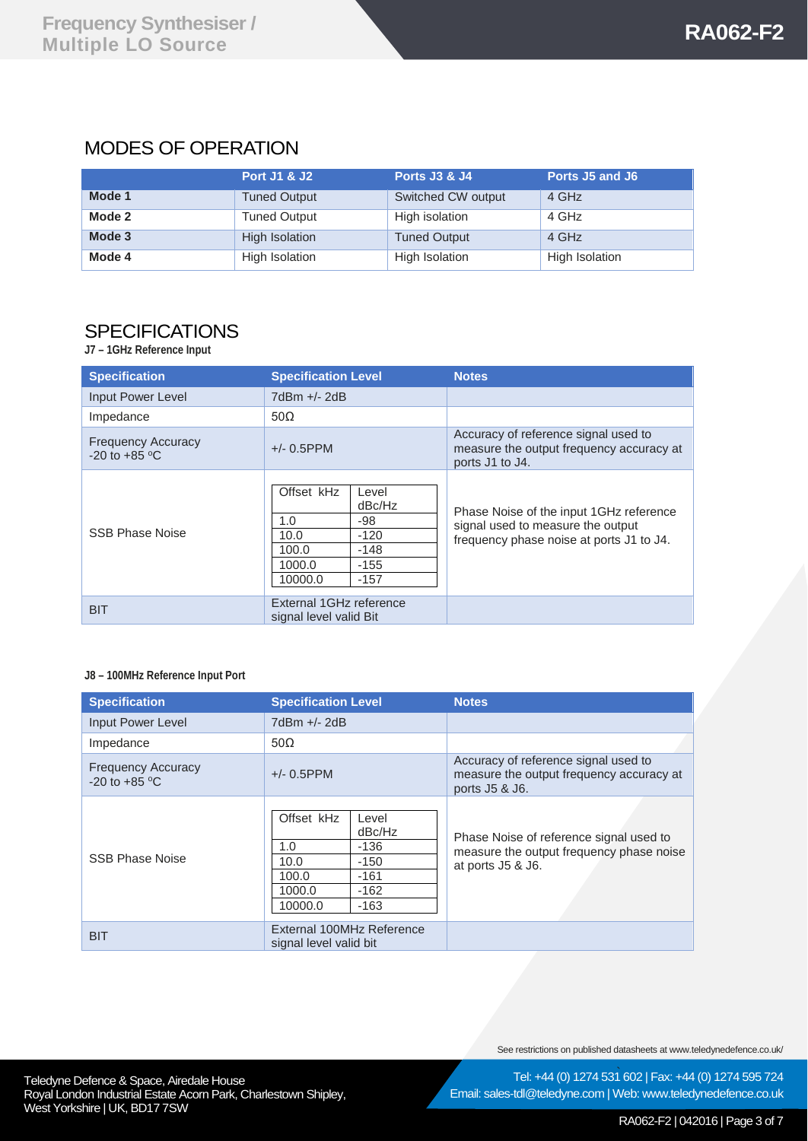# MODES OF OPERATION

|        | Port J1 & J2        | <b>Ports J3 &amp; J4</b> | Ports J5 and J6 |
|--------|---------------------|--------------------------|-----------------|
| Mode 1 | <b>Tuned Output</b> | Switched CW output       | 4 GHz           |
| Mode 2 | <b>Tuned Output</b> | High isolation           | 4 GHz           |
| Mode 3 | High Isolation      | <b>Tuned Output</b>      | 4 GHz           |
| Mode 4 | High Isolation      | High Isolation           | High Isolation  |

## **SPECIFICATIONS**

**J7 – 1GHz Reference Input**

| <b>Specification</b>                           | <b>Specification Level</b>                              |                                                                | <b>Notes</b>                                                                                                             |
|------------------------------------------------|---------------------------------------------------------|----------------------------------------------------------------|--------------------------------------------------------------------------------------------------------------------------|
| <b>Input Power Level</b>                       | 7dBm +/- 2dB                                            |                                                                |                                                                                                                          |
| Impedance                                      | $50\Omega$                                              |                                                                |                                                                                                                          |
| <b>Frequency Accuracy</b><br>$-20$ to $+85$ °C | $+/- 0.5$ PPM                                           |                                                                | Accuracy of reference signal used to<br>measure the output frequency accuracy at<br>ports J1 to J4.                      |
| SSB Phase Noise                                | Offset kHz<br>1.0<br>10.0<br>100.0<br>1000.0<br>10000.0 | Level<br>dBc/Hz<br>-98<br>$-120$<br>$-148$<br>$-155$<br>$-157$ | Phase Noise of the input 1GHz reference<br>signal used to measure the output<br>frequency phase noise at ports J1 to J4. |
| <b>BIT</b>                                     | External 1GHz reference<br>signal level valid Bit       |                                                                |                                                                                                                          |

### **J8 – 100MHz Reference Input Port**

| <b>Specification</b>                           | <b>Specification Level</b>                                                                                                 | <b>Notes</b>                                                                                             |
|------------------------------------------------|----------------------------------------------------------------------------------------------------------------------------|----------------------------------------------------------------------------------------------------------|
| <b>Input Power Level</b>                       | 7dBm +/- 2dB                                                                                                               |                                                                                                          |
| Impedance                                      | $50\Omega$                                                                                                                 |                                                                                                          |
| <b>Frequency Accuracy</b><br>$-20$ to $+85$ °C | $+/- 0.5$ PPM                                                                                                              | Accuracy of reference signal used to<br>measure the output frequency accuracy at<br>ports J5 & J6.       |
| <b>SSB Phase Noise</b>                         | Offset kHz<br>Level<br>dBc/Hz<br>1.0<br>-136<br>10.0<br>$-150$<br>100.0<br>$-161$<br>1000.0<br>$-162$<br>10000.0<br>$-163$ | Phase Noise of reference signal used to<br>measure the output frequency phase noise<br>at ports J5 & J6. |
| <b>BIT</b>                                     | External 100MHz Reference<br>signal level valid bit                                                                        |                                                                                                          |

See restrictions on published datasheets at www.teledynedefence.co.uk/

Tel: +44 (0) 1274 531 602 | Fax: +44 (0) 1274 595 724

Teledyne Defence & Space, Airedale House and the state of the state of the Tel: +44 (0) 1274 531 Royal London Industrial Estate Acorn Park, Charlestown Shipley, West Yorkshire | UK, BD17 7SW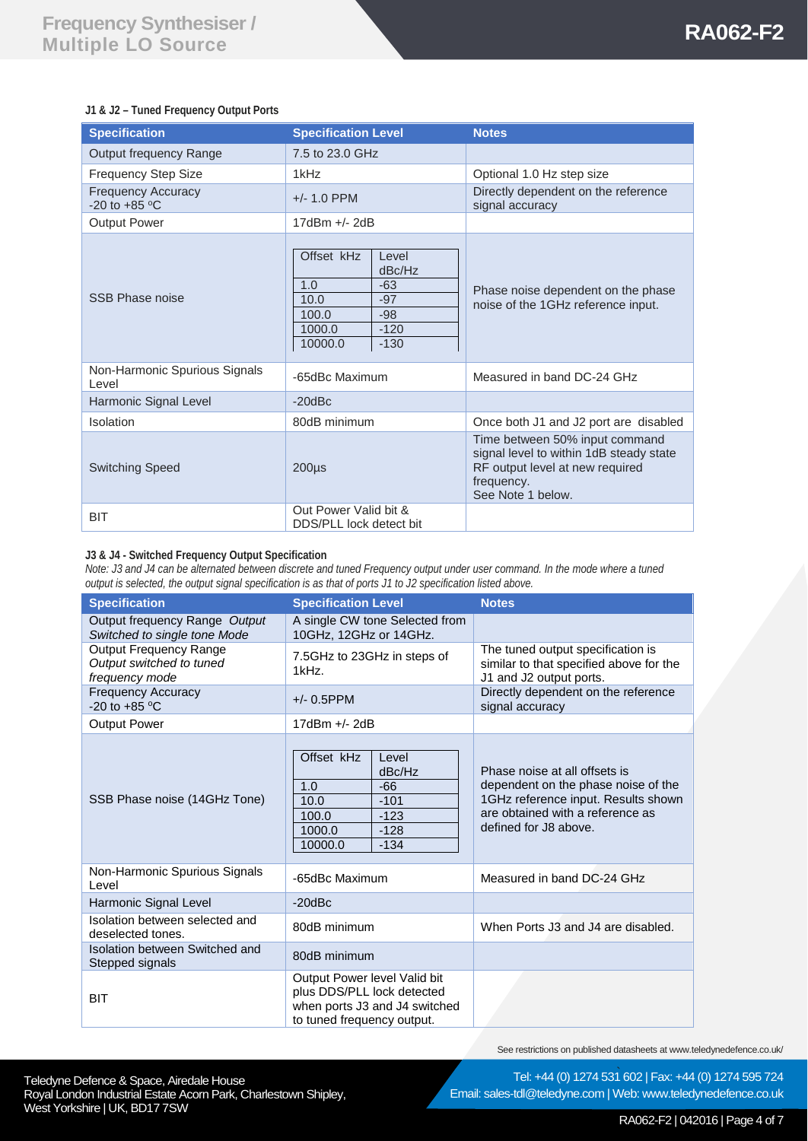#### **J1 & J2 – Tuned Frequency Output Ports**

| <b>Specification</b>                                 | <b>Specification Level</b>                                                                                                | <b>Notes</b>                                                                                                                                    |
|------------------------------------------------------|---------------------------------------------------------------------------------------------------------------------------|-------------------------------------------------------------------------------------------------------------------------------------------------|
| Output frequency Range                               | 7.5 to 23.0 GHz                                                                                                           |                                                                                                                                                 |
| <b>Frequency Step Size</b>                           | 1kHz                                                                                                                      | Optional 1.0 Hz step size                                                                                                                       |
| <b>Frequency Accuracy</b><br>-20 to +85 $^{\circ}$ C | $+/- 1.0$ PPM                                                                                                             | Directly dependent on the reference<br>signal accuracy                                                                                          |
| <b>Output Power</b>                                  | $17dBm +/- 2dB$                                                                                                           |                                                                                                                                                 |
| SSB Phase noise                                      | Offset kHz<br>Level<br>dBc/Hz<br>$-63$<br>1.0<br>$-97$<br>10.0<br>$-98$<br>100.0<br>$-120$<br>1000.0<br>10000.0<br>$-130$ | Phase noise dependent on the phase<br>noise of the 1GHz reference input.                                                                        |
| Non-Harmonic Spurious Signals<br>Level               | -65dBc Maximum                                                                                                            | Measured in band DC-24 GHz                                                                                                                      |
| Harmonic Signal Level                                | $-20$ d $Bc$                                                                                                              |                                                                                                                                                 |
| Isolation                                            | 80dB minimum                                                                                                              | Once both J1 and J2 port are disabled                                                                                                           |
| <b>Switching Speed</b>                               | 200 <sub>µ</sub>                                                                                                          | Time between 50% input command<br>signal level to within 1dB steady state<br>RF output level at new required<br>frequency.<br>See Note 1 below. |
| <b>BIT</b>                                           | Out Power Valid bit &<br>DDS/PLL lock detect bit                                                                          |                                                                                                                                                 |

#### **J3 & J4 - Switched Frequency Output Specification**

*Note: J3 and J4 can be alternated between discrete and tuned Frequency output under user command. In the mode where a tuned output is selected, the output signal specification is as that of ports J1 to J2 specification listed above.* 

| <b>Specification</b>                                                 | <b>Specification Level</b>                                                                                                  | <b>Notes</b>                                                                                                                                                             |
|----------------------------------------------------------------------|-----------------------------------------------------------------------------------------------------------------------------|--------------------------------------------------------------------------------------------------------------------------------------------------------------------------|
| Output frequency Range Output<br>Switched to single tone Mode        | A single CW tone Selected from<br>10GHz, 12GHz or 14GHz.                                                                    |                                                                                                                                                                          |
| Output Frequency Range<br>Output switched to tuned<br>frequency mode | 7.5GHz to 23GHz in steps of<br>1kHz.                                                                                        | The tuned output specification is<br>similar to that specified above for the<br>J1 and J2 output ports.                                                                  |
| <b>Frequency Accuracy</b><br>-20 to $+85$ °C                         | $+/- 0.5$ PPM                                                                                                               | Directly dependent on the reference<br>signal accuracy                                                                                                                   |
| <b>Output Power</b>                                                  | 17dBm +/- 2dB                                                                                                               |                                                                                                                                                                          |
| SSB Phase noise (14GHz Tone)                                         | Offset kHz<br>Level<br>dBc/Hz<br>1.0<br>$-66$<br>$-101$<br>10.0<br>$-123$<br>100.0<br>1000.0<br>$-128$<br>$-134$<br>10000.0 | Phase noise at all offsets is<br>dependent on the phase noise of the<br>1GHz reference input. Results shown<br>are obtained with a reference as<br>defined for J8 above. |
| Non-Harmonic Spurious Signals<br>Level                               | -65dBc Maximum                                                                                                              | Measured in band DC-24 GHz                                                                                                                                               |
| Harmonic Signal Level                                                | $-20dBc$                                                                                                                    |                                                                                                                                                                          |
| Isolation between selected and<br>deselected tones.                  | 80dB minimum                                                                                                                | When Ports J3 and J4 are disabled.                                                                                                                                       |
| Isolation between Switched and<br>Stepped signals                    | 80dB minimum                                                                                                                |                                                                                                                                                                          |
| <b>BIT</b>                                                           | Output Power level Valid bit<br>plus DDS/PLL lock detected<br>when ports J3 and J4 switched<br>to tuned frequency output.   |                                                                                                                                                                          |

See restrictions on published datasheets at www.teledynedefence.co.uk/

Teledyne Defence & Space, Airedale House and the state of the state of the Tel: +44 (0) 1274 531 Royal London Industrial Estate Acorn Park, Charlestown Shipley, West Yorkshire | UK, BD17 7SW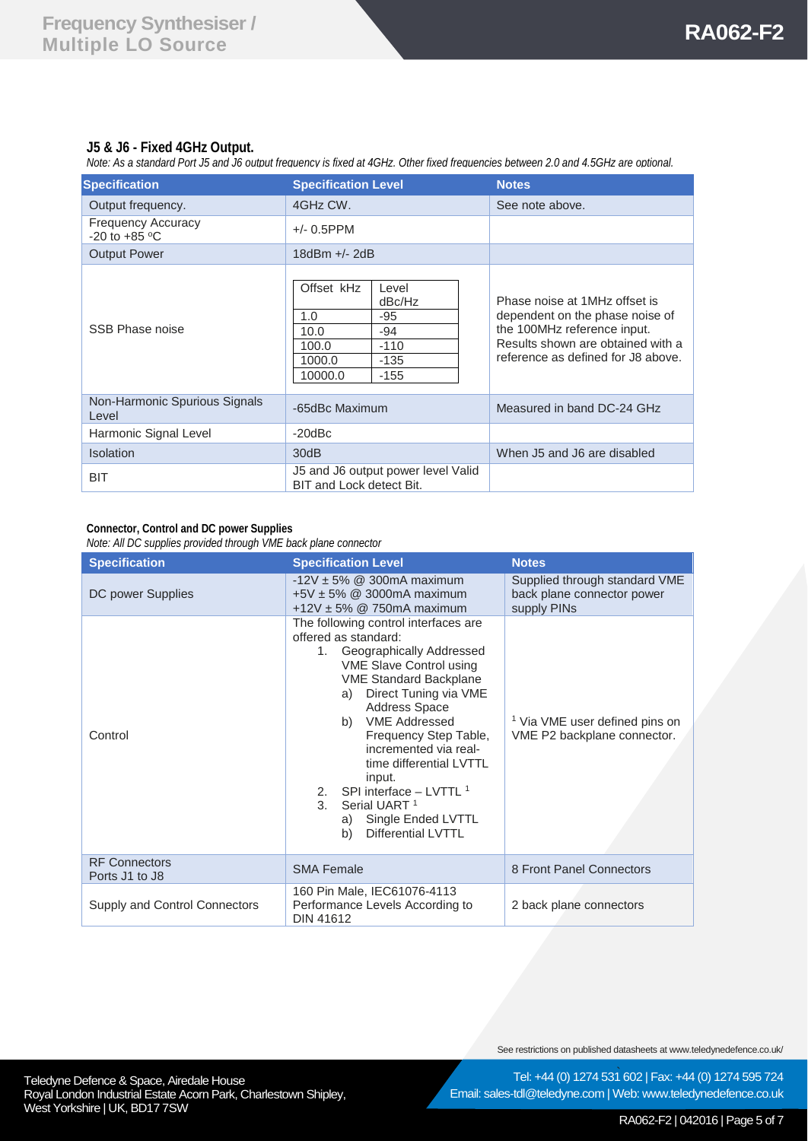### **J5 & J6 - Fixed 4GHz Output.**

*Note: As a standard Port J5 and J6 output frequency is fixed at 4GHz. Other fixed frequencies between 2.0 and 4.5GHz are optional.* 

| <b>Specification</b>                           | <b>Specification Level</b>                                                                                                 | <b>Notes</b>                                                                                                                                                               |
|------------------------------------------------|----------------------------------------------------------------------------------------------------------------------------|----------------------------------------------------------------------------------------------------------------------------------------------------------------------------|
| Output frequency.                              | 4GHz CW.                                                                                                                   | See note above.                                                                                                                                                            |
| <b>Frequency Accuracy</b><br>$-20$ to $+85$ °C | $+/- 0.5$ PPM                                                                                                              |                                                                                                                                                                            |
| <b>Output Power</b>                            | $18$ d $Bm +/- 2$ d $B$                                                                                                    |                                                                                                                                                                            |
| SSB Phase noise                                | Offset kHz<br>Level<br>dBc/Hz<br>1.0<br>$-95$<br>10.0<br>$-94$<br>$-110$<br>100.0<br>1000.0<br>$-135$<br>10000.0<br>$-155$ | Phase noise at 1MHz offset is<br>dependent on the phase noise of<br>the 100MHz reference input.<br>Results shown are obtained with a<br>reference as defined for J8 above. |
| Non-Harmonic Spurious Signals<br>Level         | -65dBc Maximum                                                                                                             | Measured in band DC-24 GHz                                                                                                                                                 |
| Harmonic Signal Level                          | $-20dBc$                                                                                                                   |                                                                                                                                                                            |
| <b>Isolation</b>                               | 30dB                                                                                                                       | When J5 and J6 are disabled                                                                                                                                                |
| <b>BIT</b>                                     | J5 and J6 output power level Valid<br>BIT and Lock detect Bit.                                                             |                                                                                                                                                                            |

#### **Connector, Control and DC power Supplies**

*Note: All DC supplies provided through VME back plane connector*

| <b>Specification</b>                   | <b>Specification Level</b>                                                                                                                                                                                                                                                                                                                                                                                                                                                | <b>Notes</b>                                                               |
|----------------------------------------|---------------------------------------------------------------------------------------------------------------------------------------------------------------------------------------------------------------------------------------------------------------------------------------------------------------------------------------------------------------------------------------------------------------------------------------------------------------------------|----------------------------------------------------------------------------|
| DC power Supplies                      | $-12V \pm 5\%$ @ 300mA maximum<br>$+5V \pm 5\%$ @ 3000mA maximum<br>+12V $\pm$ 5% @ 750mA maximum                                                                                                                                                                                                                                                                                                                                                                         | Supplied through standard VME<br>back plane connector power<br>supply PINs |
| Control                                | The following control interfaces are<br>offered as standard:<br>Geographically Addressed<br>1.<br>VME Slave Control using<br><b>VME Standard Backplane</b><br>Direct Tuning via VME<br>a)<br><b>Address Space</b><br><b>VME Addressed</b><br>b)<br>Frequency Step Table,<br>incremented via real-<br>time differential LVTTL<br>input.<br>SPI interface $-$ LVTTL $1$<br>2.<br>3.<br>Serial UART <sup>1</sup><br>a) Single Ended LVTTL<br><b>Differential LVTTL</b><br>b) | <sup>1</sup> Via VME user defined pins on<br>VME P2 backplane connector.   |
| <b>RF Connectors</b><br>Ports J1 to J8 | <b>SMA Female</b>                                                                                                                                                                                                                                                                                                                                                                                                                                                         | 8 Front Panel Connectors                                                   |
| Supply and Control Connectors          | 160 Pin Male, IEC61076-4113<br>Performance Levels According to<br>DIN 41612                                                                                                                                                                                                                                                                                                                                                                                               | 2 back plane connectors                                                    |

See restrictions on published datasheets at www.teledynedefence.co.uk/

Teledyne Defence & Space, Airedale House and the state of the state of the Tel: +44 (0) 1274 531 Royal London Industrial Estate Acorn Park, Charlestown Shipley, West Yorkshire | UK, BD17 7SW

Email: sales-tdl@teledyne.com | Web: www.teledynedefence.co.uk

Tel: +44 (0) 1274 531 602 | Fax: +44 (0) 1274 595 724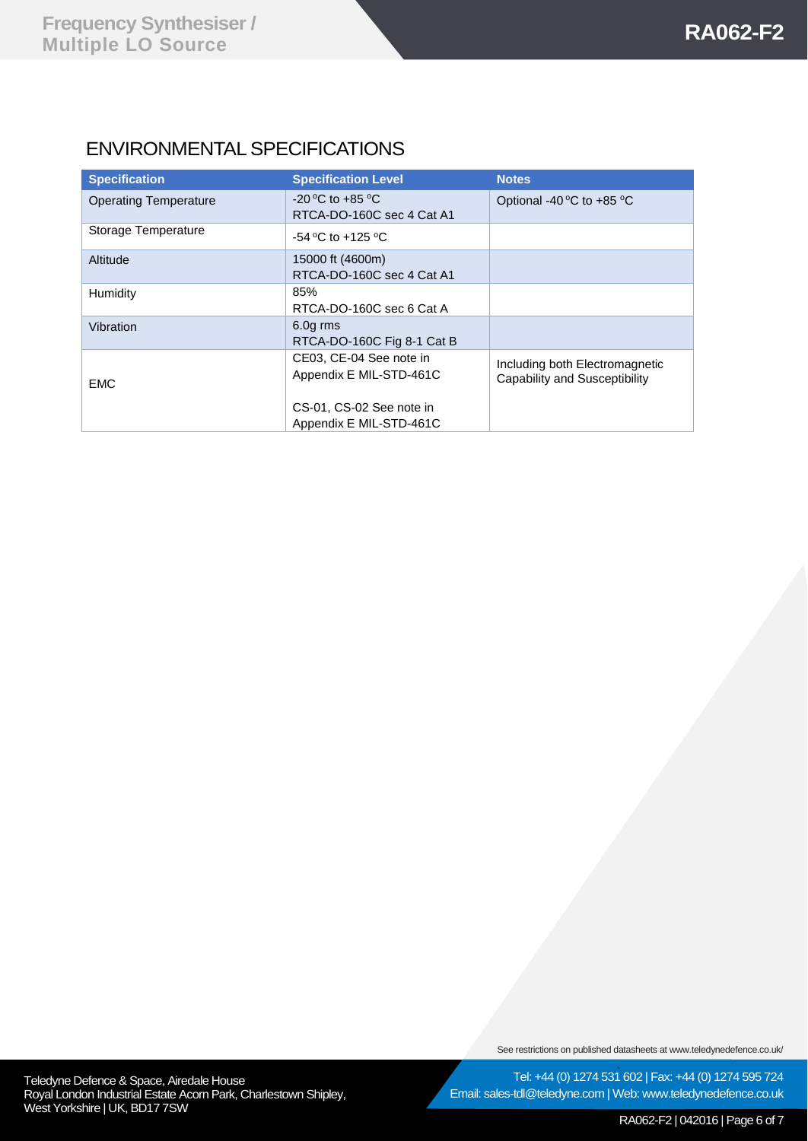# ENVIRONMENTAL SPECIFICATIONS

| <b>Specification</b>         | <b>Specification Level</b>                          | <b>Notes</b>                                                    |
|------------------------------|-----------------------------------------------------|-----------------------------------------------------------------|
| <b>Operating Temperature</b> | $-20$ °C to $+85$ °C<br>RTCA-DO-160C sec 4 Cat A1   | Optional -40 $\mathrm{^{\circ}C}$ to +85 $\mathrm{^{\circ}C}$   |
| Storage Temperature          | $-54$ °C to $+125$ °C                               |                                                                 |
| Altitude                     | 15000 ft (4600m)<br>RTCA-DO-160C sec 4 Cat A1       |                                                                 |
| Humidity                     | 85%<br>RTCA-DO-160C sec 6 Cat A                     |                                                                 |
| Vibration                    | 6.0g rms<br>RTCA-DO-160C Fig 8-1 Cat B              |                                                                 |
| <b>EMC</b>                   | CE03, CE-04 See note in<br>Appendix E MIL-STD-461C  | Including both Electromagnetic<br>Capability and Susceptibility |
|                              | CS-01, CS-02 See note in<br>Appendix E MIL-STD-461C |                                                                 |

See restrictions on published datasheets at www.teledynedefence.co.uk/

Teledyne Defence & Space, Airedale House and the state of the state of the Tel: +44 (0) 1274 531 Royal London Industrial Estate Acorn Park, Charlestown Shipley, West Yorkshire | UK, BD17 7SW